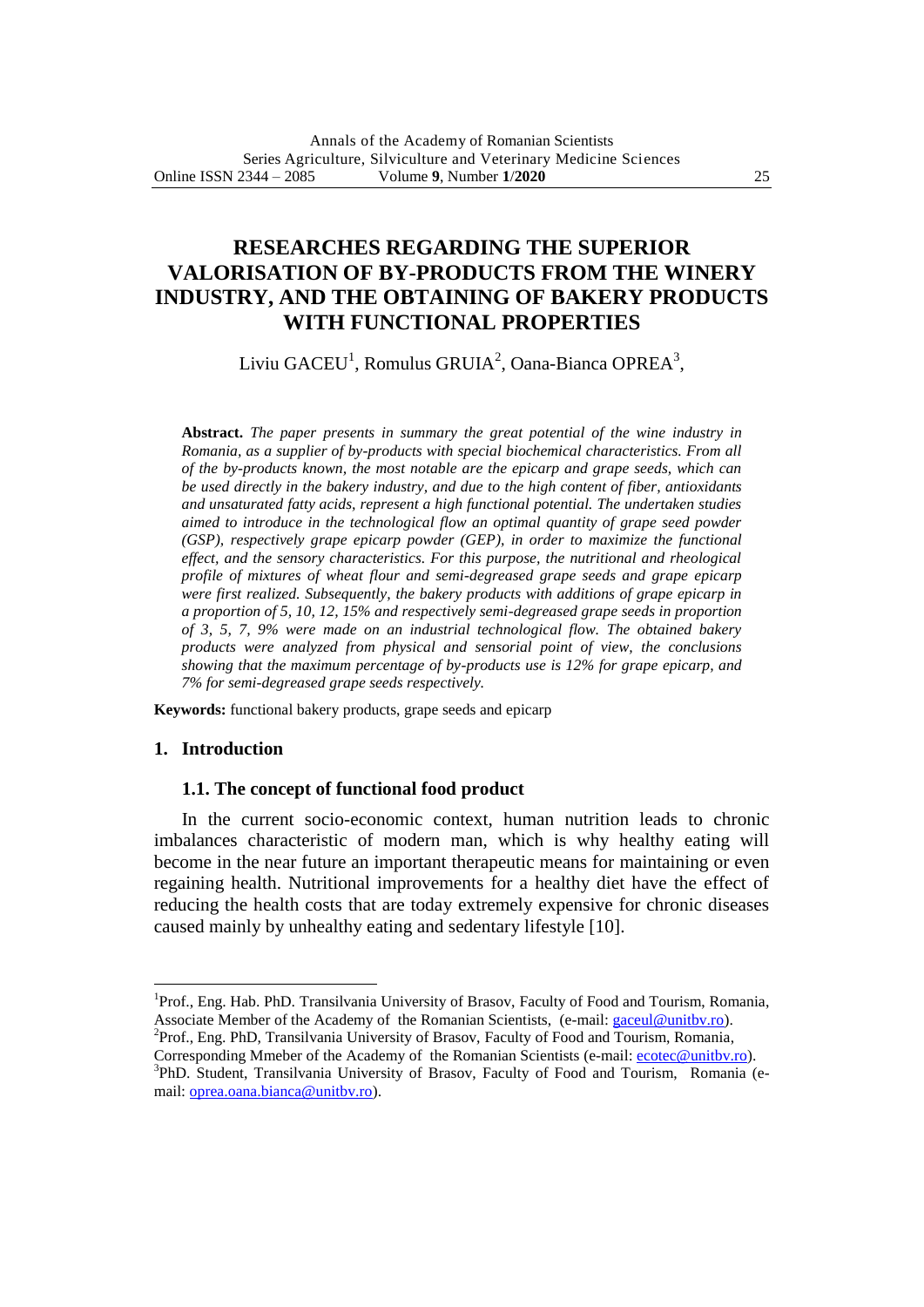# **RESEARCHES REGARDING THE SUPERIOR VALORISATION OF BY-PRODUCTS FROM THE WINERY INDUSTRY, AND THE OBTAINING OF BAKERY PRODUCTS WITH FUNCTIONAL PROPERTIES**

Liviu  $GACEU^1$ , Romulus  $GRUIA^2$ , Oana-Bianca OPREA<sup>3</sup>,

**Abstract.** *The paper presents in summary the great potential of the wine industry in Romania, as a supplier of by-products with special biochemical characteristics. From all of the by-products known, the most notable are the epicarp and grape seeds, which can be used directly in the bakery industry, and due to the high content of fiber, antioxidants and unsaturated fatty acids, represent a high functional potential. The undertaken studies aimed to introduce in the technological flow an optimal quantity of grape seed powder (GSP), respectively grape epicarp powder (GEP), in order to maximize the functional effect, and the sensory characteristics. For this purpose, the nutritional and rheological profile of mixtures of wheat flour and semi-degreased grape seeds and grape epicarp were first realized. Subsequently, the bakery products with additions of grape epicarp in a proportion of 5, 10, 12, 15% and respectively semi-degreased grape seeds in proportion of 3, 5, 7, 9% were made on an industrial technological flow. The obtained bakery products were analyzed from physical and sensorial point of view, the conclusions showing that the maximum percentage of by-products use is 12% for grape epicarp, and 7% for semi-degreased grape seeds respectively.*

**Keywords:** functional bakery products, grape seeds and epicarp

## **1. Introduction**

 $\overline{a}$ 

#### **1.1. The concept of functional food product**

In the current socio-economic context, human nutrition leads to chronic imbalances characteristic of modern man, which is why healthy eating will become in the near future an important therapeutic means for maintaining or even regaining health. Nutritional improvements for a healthy diet have the effect of reducing the health costs that are today extremely expensive for chronic diseases caused mainly by unhealthy eating and sedentary lifestyle [10].

<sup>2</sup>Prof., Eng. PhD, Transilvania University of Brasov, Faculty of Food and Tourism, Romania, Corresponding Mmeber of the Academy of the Romanian Scientists (e-mail: [ecotec@unitbv.ro\)](mailto:ecotec@unitbv.ro).

<sup>&</sup>lt;sup>1</sup>Prof., Eng. Hab. PhD. Transilvania University of Brasov, Faculty of Food and Tourism, Romania, Associate Member of the Academy of the Romanian Scientists, (e-mail: [gaceul@unitbv.ro\)](mailto:gaceul@unitbv.ro).

<sup>&</sup>lt;sup>3</sup>PhD. Student, Transilvania University of Brasov, Faculty of Food and Tourism, Romania (email: <u>oprea.oana.bianca@unitbv.ro</u>).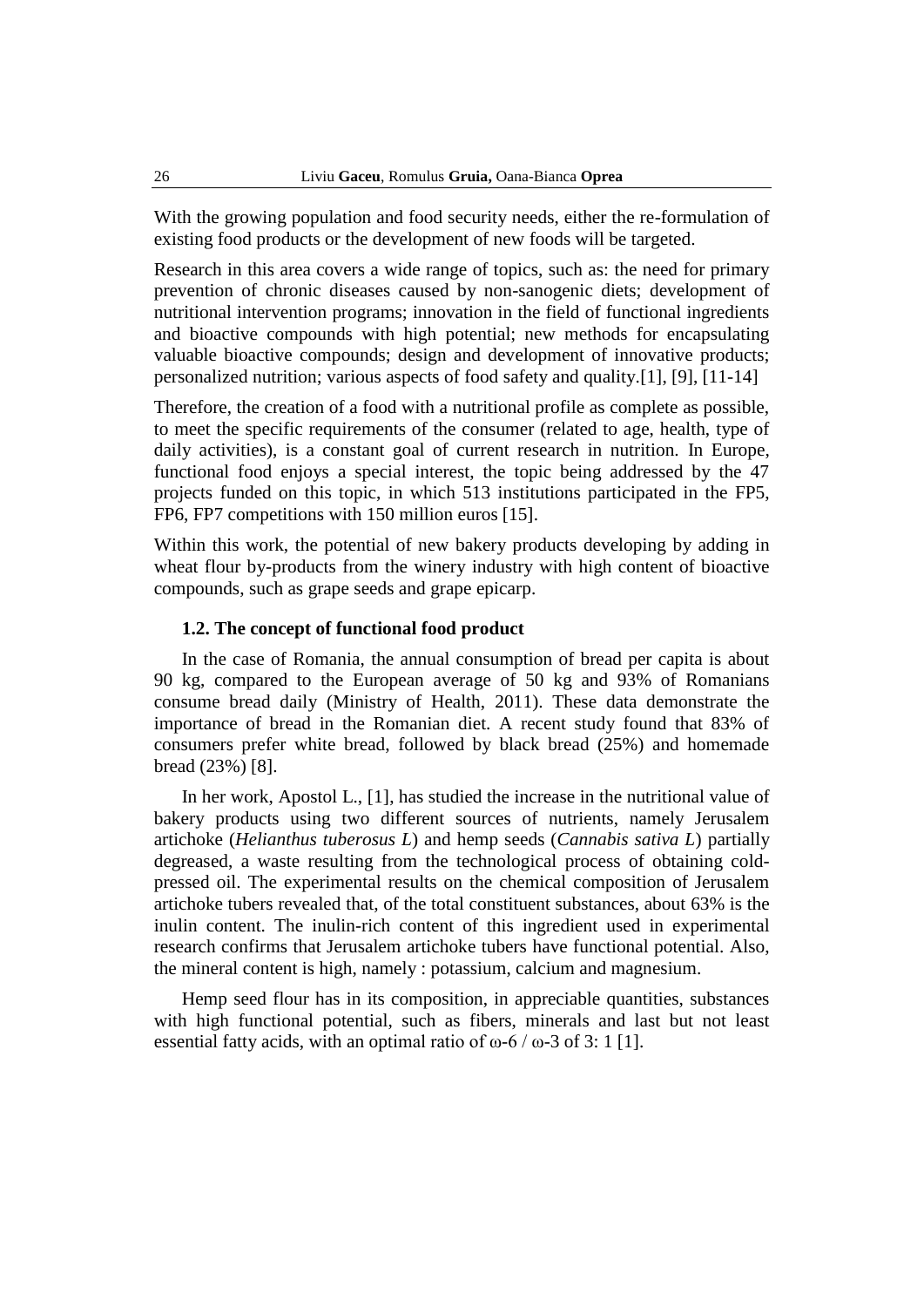With the growing population and food security needs, either the re-formulation of existing food products or the development of new foods will be targeted.

Research in this area covers a wide range of topics, such as: the need for primary prevention of chronic diseases caused by non-sanogenic diets; development of nutritional intervention programs; innovation in the field of functional ingredients and bioactive compounds with high potential; new methods for encapsulating valuable bioactive compounds; design and development of innovative products; personalized nutrition; various aspects of food safety and quality.[1], [9], [11-14]

Therefore, the creation of a food with a nutritional profile as complete as possible, to meet the specific requirements of the consumer (related to age, health, type of daily activities), is a constant goal of current research in nutrition. In Europe, functional food enjoys a special interest, the topic being addressed by the 47 projects funded on this topic, in which 513 institutions participated in the FP5, FP6, FP7 competitions with 150 million euros [15].

Within this work, the potential of new bakery products developing by adding in wheat flour by-products from the winery industry with high content of bioactive compounds, such as grape seeds and grape epicarp.

## **1.2. The concept of functional food product**

In the case of Romania, the annual consumption of bread per capita is about 90 kg, compared to the European average of 50 kg and 93% of Romanians consume bread daily (Ministry of Health, 2011). These data demonstrate the importance of bread in the Romanian diet. A recent study found that 83% of consumers prefer white bread, followed by black bread (25%) and homemade bread (23%) [8].

In her work, Apostol L., [1], has studied the increase in the nutritional value of bakery products using two different sources of nutrients, namely Jerusalem artichoke (*Helianthus tuberosus L*) and hemp seeds (*Cannabis sativa L*) partially degreased, a waste resulting from the technological process of obtaining coldpressed oil. The experimental results on the chemical composition of Jerusalem artichoke tubers revealed that, of the total constituent substances, about 63% is the inulin content. The inulin-rich content of this ingredient used in experimental research confirms that Jerusalem artichoke tubers have functional potential. Also, the mineral content is high, namely : potassium, calcium and magnesium.

Hemp seed flour has in its composition, in appreciable quantities, substances with high functional potential, such as fibers, minerals and last but not least essential fatty acids, with an optimal ratio of  $\omega$ -6 /  $\omega$ -3 of 3: 1 [1].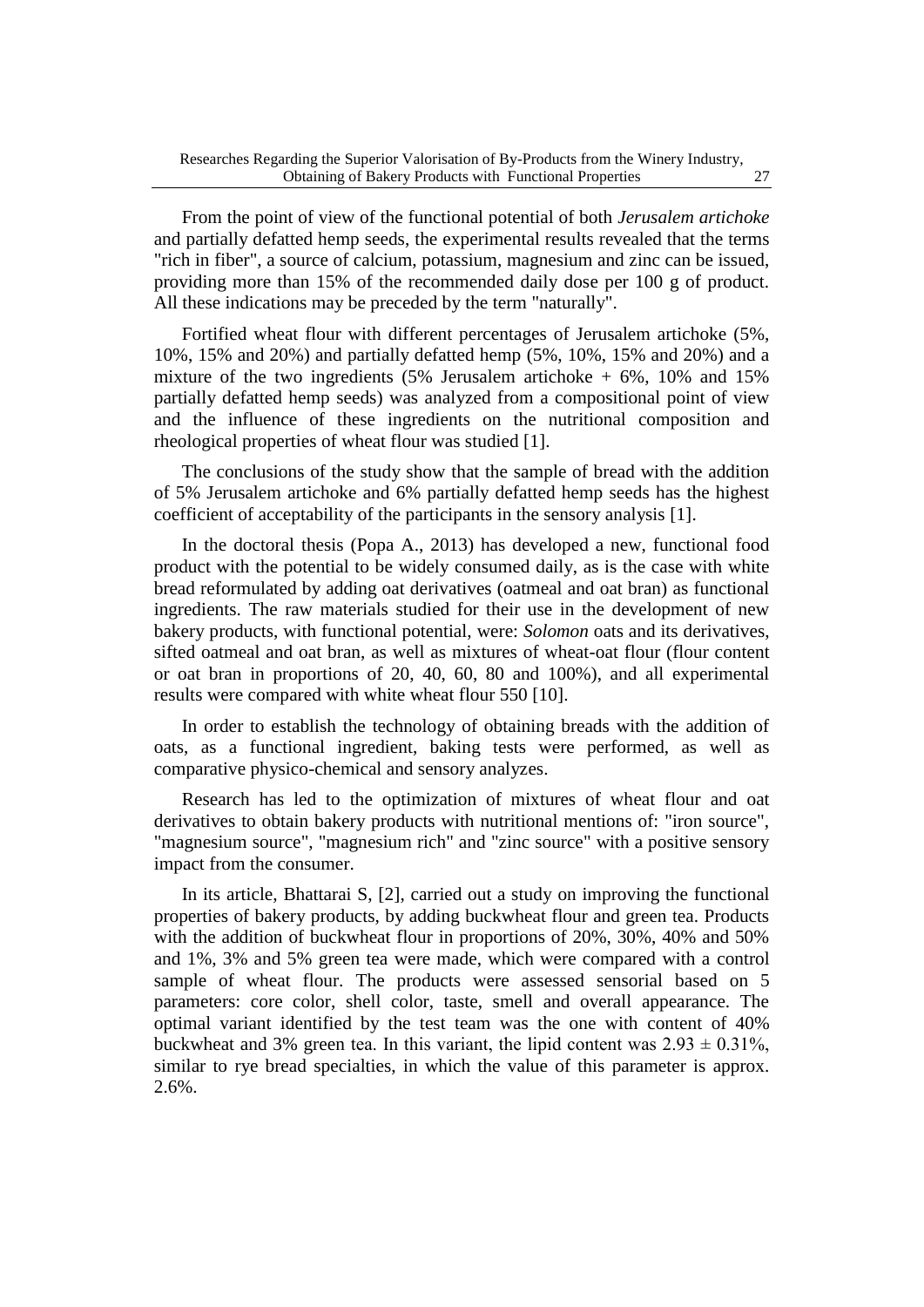From the point of view of the functional potential of both *Jerusalem artichoke* and partially defatted hemp seeds, the experimental results revealed that the terms "rich in fiber", a source of calcium, potassium, magnesium and zinc can be issued, providing more than 15% of the recommended daily dose per 100 g of product. All these indications may be preceded by the term "naturally".

Fortified wheat flour with different percentages of Jerusalem artichoke (5%, 10%, 15% and 20%) and partially defatted hemp (5%, 10%, 15% and 20%) and a mixture of the two ingredients (5% Jerusalem artichoke  $+ 6\%$ , 10% and 15% partially defatted hemp seeds) was analyzed from a compositional point of view and the influence of these ingredients on the nutritional composition and rheological properties of wheat flour was studied [1].

The conclusions of the study show that the sample of bread with the addition of 5% Jerusalem artichoke and 6% partially defatted hemp seeds has the highest coefficient of acceptability of the participants in the sensory analysis [1].

In the doctoral thesis (Popa A., 2013) has developed a new, functional food product with the potential to be widely consumed daily, as is the case with white bread reformulated by adding oat derivatives (oatmeal and oat bran) as functional ingredients. The raw materials studied for their use in the development of new bakery products, with functional potential, were: *Solomon* oats and its derivatives, sifted oatmeal and oat bran, as well as mixtures of wheat-oat flour (flour content or oat bran in proportions of 20, 40, 60, 80 and 100%), and all experimental results were compared with white wheat flour 550 [10].

In order to establish the technology of obtaining breads with the addition of oats, as a functional ingredient, baking tests were performed, as well as comparative physico-chemical and sensory analyzes.

Research has led to the optimization of mixtures of wheat flour and oat derivatives to obtain bakery products with nutritional mentions of: "iron source", "magnesium source", "magnesium rich" and "zinc source" with a positive sensory impact from the consumer.

In its article, Bhattarai S, [2], carried out a study on improving the functional properties of bakery products, by adding buckwheat flour and green tea. Products with the addition of buckwheat flour in proportions of 20%, 30%, 40% and 50% and 1%, 3% and 5% green tea were made, which were compared with a control sample of wheat flour. The products were assessed sensorial based on 5 parameters: core color, shell color, taste, smell and overall appearance. The optimal variant identified by the test team was the one with content of 40% buckwheat and 3% green tea. In this variant, the lipid content was  $2.93 \pm 0.31\%$ , similar to rye bread specialties, in which the value of this parameter is approx. 2.6%.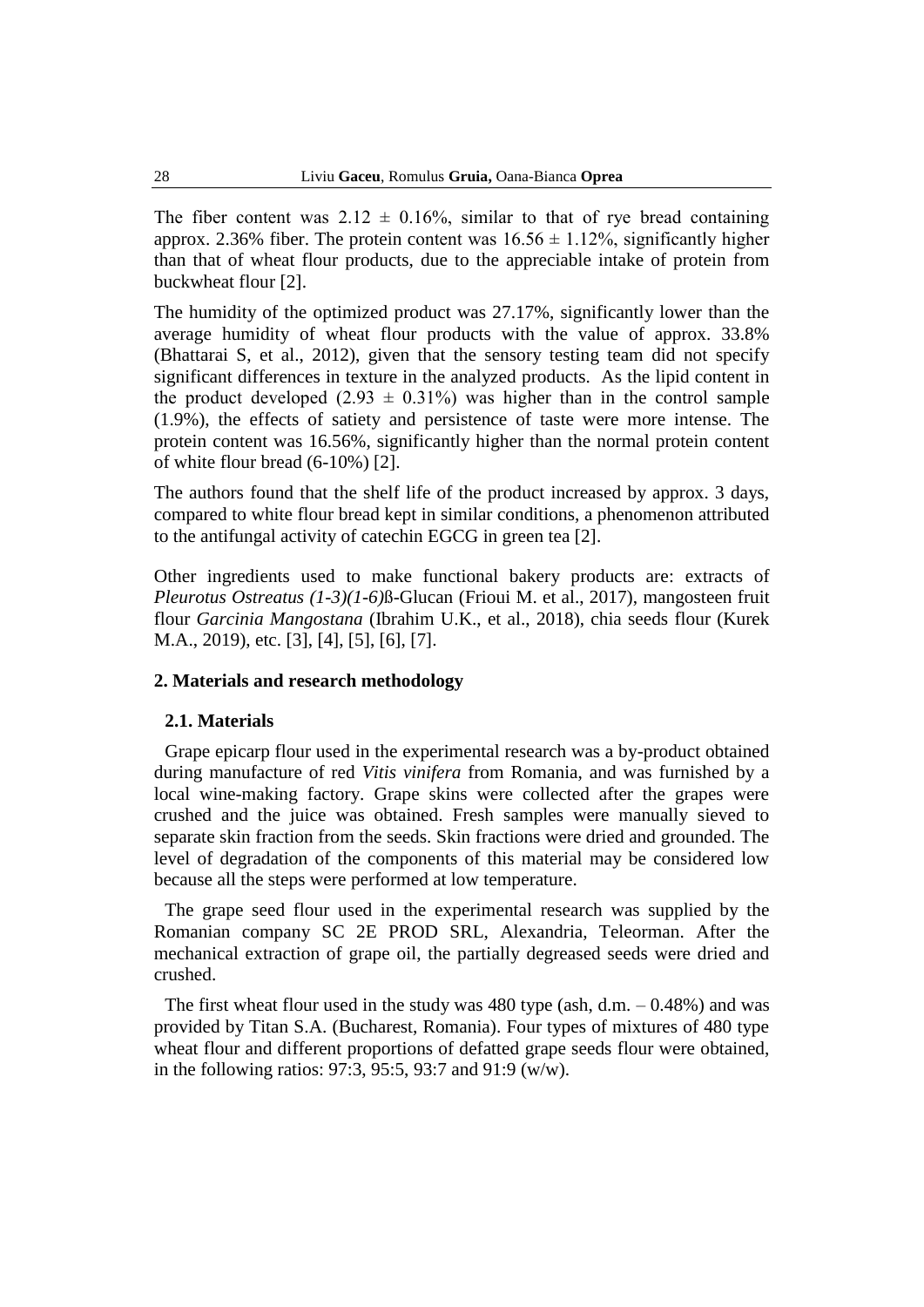The fiber content was  $2.12 \pm 0.16\%$ , similar to that of rye bread containing approx. 2.36% fiber. The protein content was  $16.56 \pm 1.12\%$ , significantly higher than that of wheat flour products, due to the appreciable intake of protein from buckwheat flour [2].

The humidity of the optimized product was 27.17%, significantly lower than the average humidity of wheat flour products with the value of approx. 33.8% (Bhattarai S, et al., 2012), given that the sensory testing team did not specify significant differences in texture in the analyzed products. As the lipid content in the product developed  $(2.93 \pm 0.31\%)$  was higher than in the control sample (1.9%), the effects of satiety and persistence of taste were more intense. The protein content was 16.56%, significantly higher than the normal protein content of white flour bread (6-10%) [2].

The authors found that the shelf life of the product increased by approx. 3 days, compared to white flour bread kept in similar conditions, a phenomenon attributed to the antifungal activity of catechin EGCG in green tea [2].

Other ingredients used to make functional bakery products are: extracts of *Pleurotus Ostreatus (1-3)(1-6)*ß-Glucan (Frioui M. et al., 2017), mangosteen fruit flour *Garcinia Mangostana* (Ibrahim U.K., et al., 2018), chia seeds flour (Kurek M.A., 2019), etc. [3], [4], [5], [6], [7].

## **2. Materials and research methodology**

#### **2.1. Materials**

Grape epicarp flour used in the experimental research was a by-product obtained during manufacture of red *Vitis vinifera* from Romania, and was furnished by a local wine-making factory. Grape skins were collected after the grapes were crushed and the juice was obtained. Fresh samples were manually sieved to separate skin fraction from the seeds. Skin fractions were dried and grounded. The level of degradation of the components of this material may be considered low because all the steps were performed at low temperature.

The grape seed flour used in the experimental research was supplied by the Romanian company SC 2E PROD SRL, Alexandria, Teleorman. After the mechanical extraction of grape oil, the partially degreased seeds were dried and crushed.

The first wheat flour used in the study was 480 type (ash, d.m. – 0.48%) and was provided by Titan S.A. (Bucharest, Romania). Four types of mixtures of 480 type wheat flour and different proportions of defatted grape seeds flour were obtained, in the following ratios: 97:3, 95:5, 93:7 and 91:9 (w/w).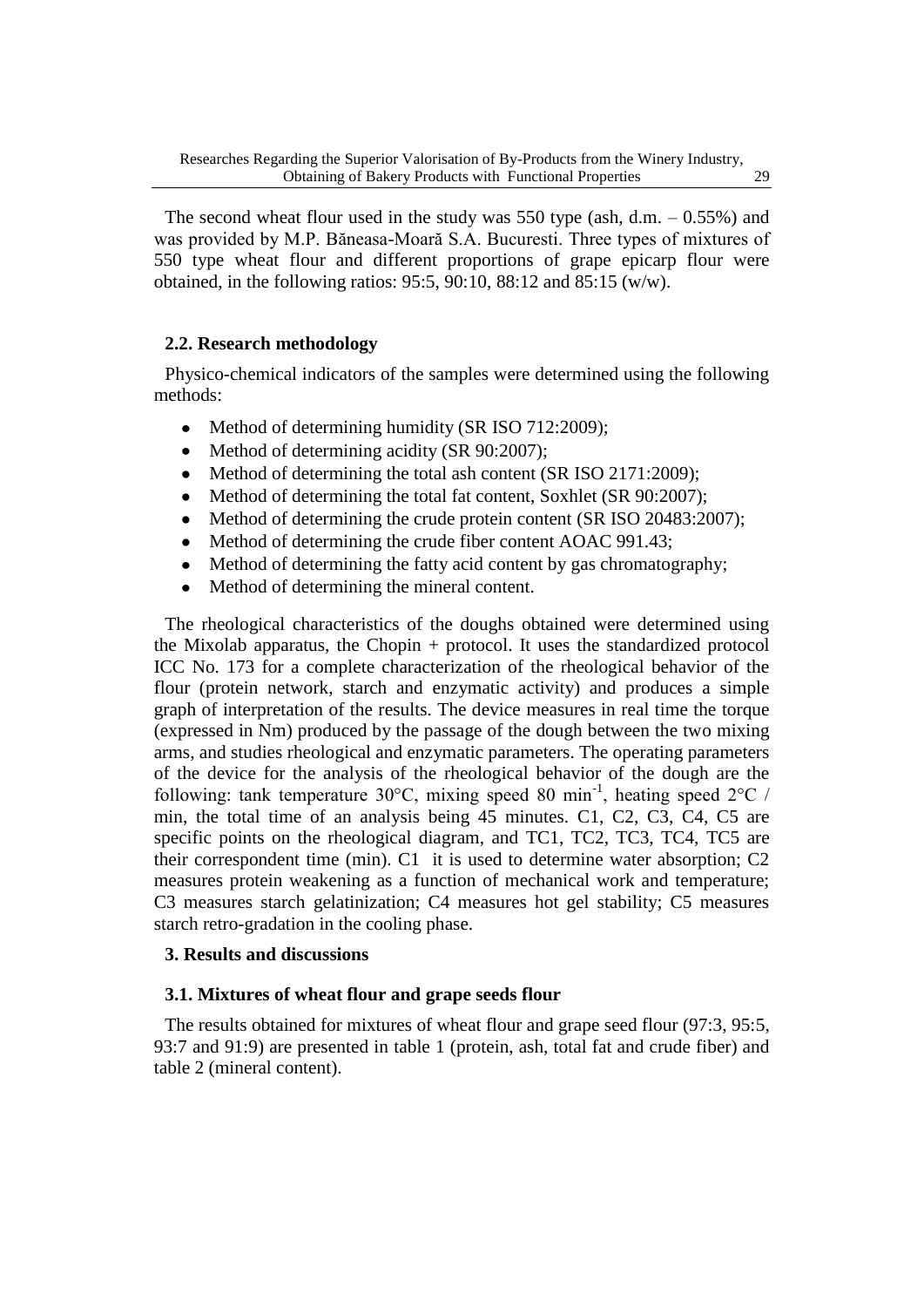The second wheat flour used in the study was 550 type (ash, d.m.  $-0.55\%$ ) and was provided by M.P. Băneasa-Moară S.A. Bucuresti. Three types of mixtures of 550 type wheat flour and different proportions of grape epicarp flour were obtained, in the following ratios: 95:5, 90:10, 88:12 and 85:15 (w/w).

## **2.2. Research methodology**

Physico-chemical indicators of the samples were determined using the following methods:

- Method of determining humidity (SR ISO 712:2009);  $\bullet$
- Method of determining acidity (SR 90:2007);
- Method of determining the total ash content (SR ISO 2171:2009);
- Method of determining the total fat content, Soxhlet (SR 90:2007);
- Method of determining the crude protein content (SR ISO 20483:2007);
- Method of determining the crude fiber content AOAC 991.43;
- Method of determining the fatty acid content by gas chromatography;  $\bullet$
- Method of determining the mineral content.

The rheological characteristics of the doughs obtained were determined using the Mixolab apparatus, the Chopin + protocol. It uses the standardized protocol ICC No. 173 for a complete characterization of the rheological behavior of the flour (protein network, starch and enzymatic activity) and produces a simple graph of interpretation of the results. The device measures in real time the torque (expressed in Nm) produced by the passage of the dough between the two mixing arms, and studies rheological and enzymatic parameters. The operating parameters of the device for the analysis of the rheological behavior of the dough are the following: tank temperature 30°C, mixing speed 80 min<sup>-1</sup>, heating speed 2°C / min, the total time of an analysis being 45 minutes. C1, C2, C3, C4, C5 are specific points on the rheological diagram, and TC1, TC2, TC3, TC4, TC5 are their correspondent time (min). C1 it is used to determine water absorption; C2 measures protein weakening as a function of mechanical work and temperature; C3 measures starch gelatinization; C4 measures hot gel stability; C5 measures starch retro-gradation in the cooling phase.

## **3. Results and discussions**

#### **3.1. Mixtures of wheat flour and grape seeds flour**

The results obtained for mixtures of wheat flour and grape seed flour (97:3, 95:5, 93:7 and 91:9) are presented in table 1 (protein, ash, total fat and crude fiber) and table 2 (mineral content).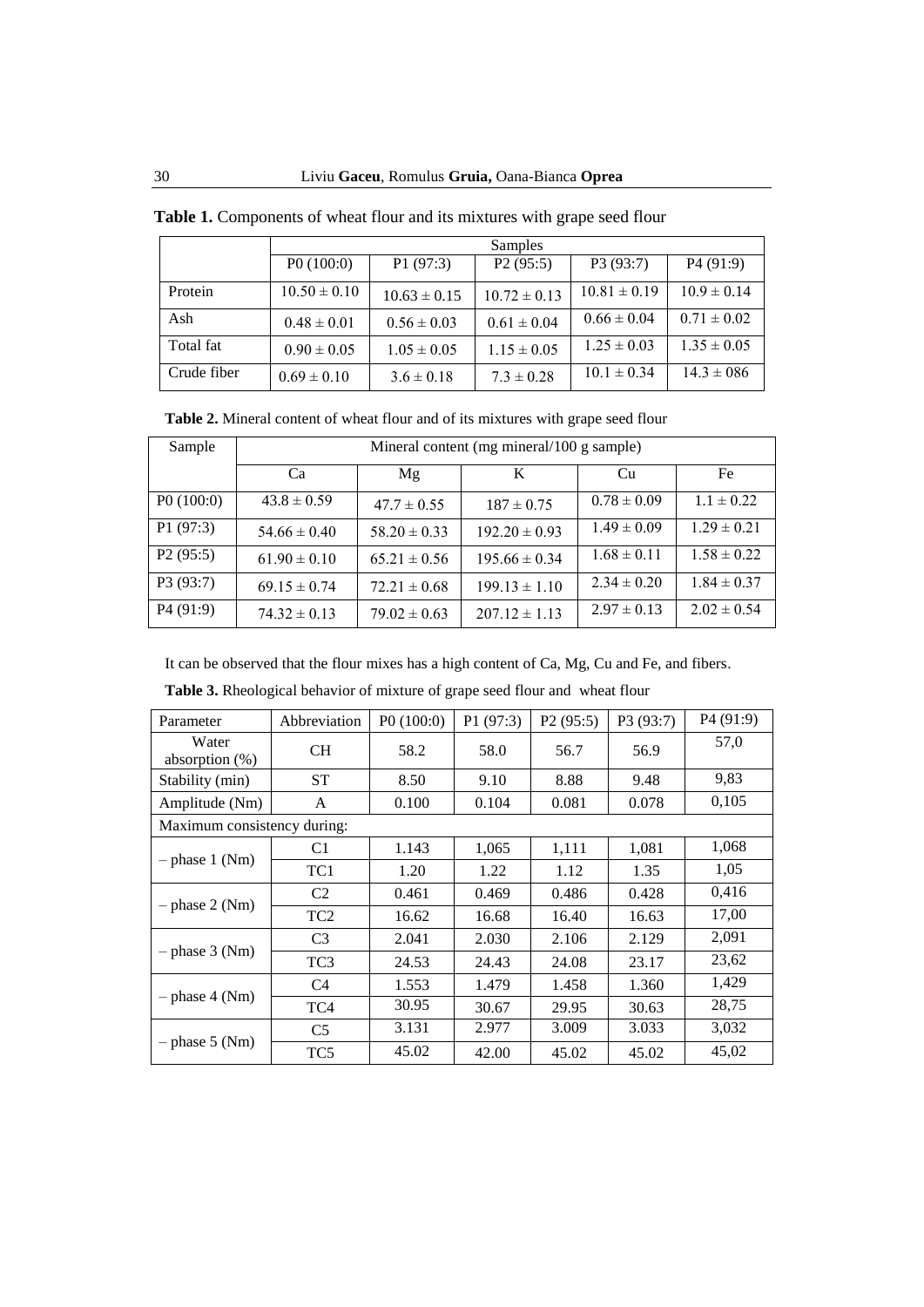|             | Samples          |                  |                  |                  |                 |  |  |
|-------------|------------------|------------------|------------------|------------------|-----------------|--|--|
|             | P0(100:0)        | P1(97:3)         | P2(95:5)         | P3 (93:7)        | P4(91:9)        |  |  |
| Protein     | $10.50 \pm 0.10$ | $10.63 \pm 0.15$ | $10.72 \pm 0.13$ | $10.81 \pm 0.19$ | $10.9 \pm 0.14$ |  |  |
| Ash         | $0.48 \pm 0.01$  | $0.56 \pm 0.03$  | $0.61 \pm 0.04$  | $0.66 \pm 0.04$  | $0.71 \pm 0.02$ |  |  |
| Total fat   | $0.90 \pm 0.05$  | $1.05 \pm 0.05$  | $1.15 \pm 0.05$  | $1.25 \pm 0.03$  | $1.35 \pm 0.05$ |  |  |
| Crude fiber | $0.69 \pm 0.10$  | $3.6 \pm 0.18$   | $7.3 \pm 0.28$   | $10.1 \pm 0.34$  | $14.3 \pm 0.86$ |  |  |

**Table 1.** Components of wheat flour and its mixtures with grape seed flour

**Table 2.** Mineral content of wheat flour and of its mixtures with grape seed flour

| Sample    | Mineral content (mg mineral/100 g sample) |                  |                   |                 |                 |  |  |
|-----------|-------------------------------------------|------------------|-------------------|-----------------|-----------------|--|--|
|           | Ca                                        | Mg               | K                 | Cu              | Fe              |  |  |
| P0(100:0) | $43.8 \pm 0.59$                           | $47.7 \pm 0.55$  | $187 \pm 0.75$    | $0.78 \pm 0.09$ | $1.1 \pm 0.22$  |  |  |
| P1(97:3)  | $54.66 \pm 0.40$                          | $58.20 \pm 0.33$ | $192.20 \pm 0.93$ | $1.49 \pm 0.09$ | $1.29 \pm 0.21$ |  |  |
| P2(95:5)  | $61.90 \pm 0.10$                          | $65.21 \pm 0.56$ | $195.66 \pm 0.34$ | $1.68 \pm 0.11$ | $1.58 \pm 0.22$ |  |  |
| P3(93:7)  | $69.15 \pm 0.74$                          | $72.21 \pm 0.68$ | $199.13 \pm 1.10$ | $2.34 \pm 0.20$ | $1.84 \pm 0.37$ |  |  |
| P4(91:9)  | $74.32 \pm 0.13$                          | $79.02 \pm 0.63$ | $207.12 \pm 1.13$ | $2.97 \pm 0.13$ | $2.02 \pm 0.54$ |  |  |

It can be observed that the flour mixes has a high content of Ca, Mg, Cu and Fe, and fibers.

**Table 3.** Rheological behavior of mixture of grape seed flour and wheat flour

| Parameter                   | Abbreviation    | P0(100:0) | P1 (97:3) | P <sub>2</sub> (95:5) | P3 (93:7) | P <sub>4</sub> (91:9) |
|-----------------------------|-----------------|-----------|-----------|-----------------------|-----------|-----------------------|
| Water<br>absorption $(\%)$  | <b>CH</b>       | 58.2      | 58.0      | 56.7                  | 56.9      | 57,0                  |
| Stability (min)             | <b>ST</b>       | 8.50      | 9.10      | 8.88                  | 9.48      | 9,83                  |
| Amplitude (Nm)              | A               | 0.100     | 0.104     | 0.081                 | 0.078     | 0,105                 |
| Maximum consistency during: |                 |           |           |                       |           |                       |
| $-$ phase 1 (Nm)            | C <sub>1</sub>  | 1.143     | 1,065     | 1,111                 | 1,081     | 1,068                 |
|                             | TC1             | 1.20      | 1.22      | 1.12                  | 1.35      | 1,05                  |
|                             | C <sub>2</sub>  | 0.461     | 0.469     | 0.486                 | 0.428     | 0.416                 |
| $-$ phase 2 (Nm)            | TC <sub>2</sub> | 16.62     | 16.68     | 16.40                 | 16.63     | 17,00                 |
| $-$ phase 3 (Nm)            | C <sub>3</sub>  | 2.041     | 2.030     | 2.106                 | 2.129     | 2,091                 |
|                             | TC <sub>3</sub> | 24.53     | 24.43     | 24.08                 | 23.17     | 23,62                 |
| – phase 4 (Nm)              | C <sub>4</sub>  | 1.553     | 1.479     | 1.458                 | 1.360     | 1,429                 |
|                             | TC4             | 30.95     | 30.67     | 29.95                 | 30.63     | 28,75                 |
| $-$ phase 5 (Nm)            | C <sub>5</sub>  | 3.131     | 2.977     | 3.009                 | 3.033     | 3,032                 |
|                             | TC <sub>5</sub> | 45.02     | 42.00     | 45.02                 | 45.02     | 45,02                 |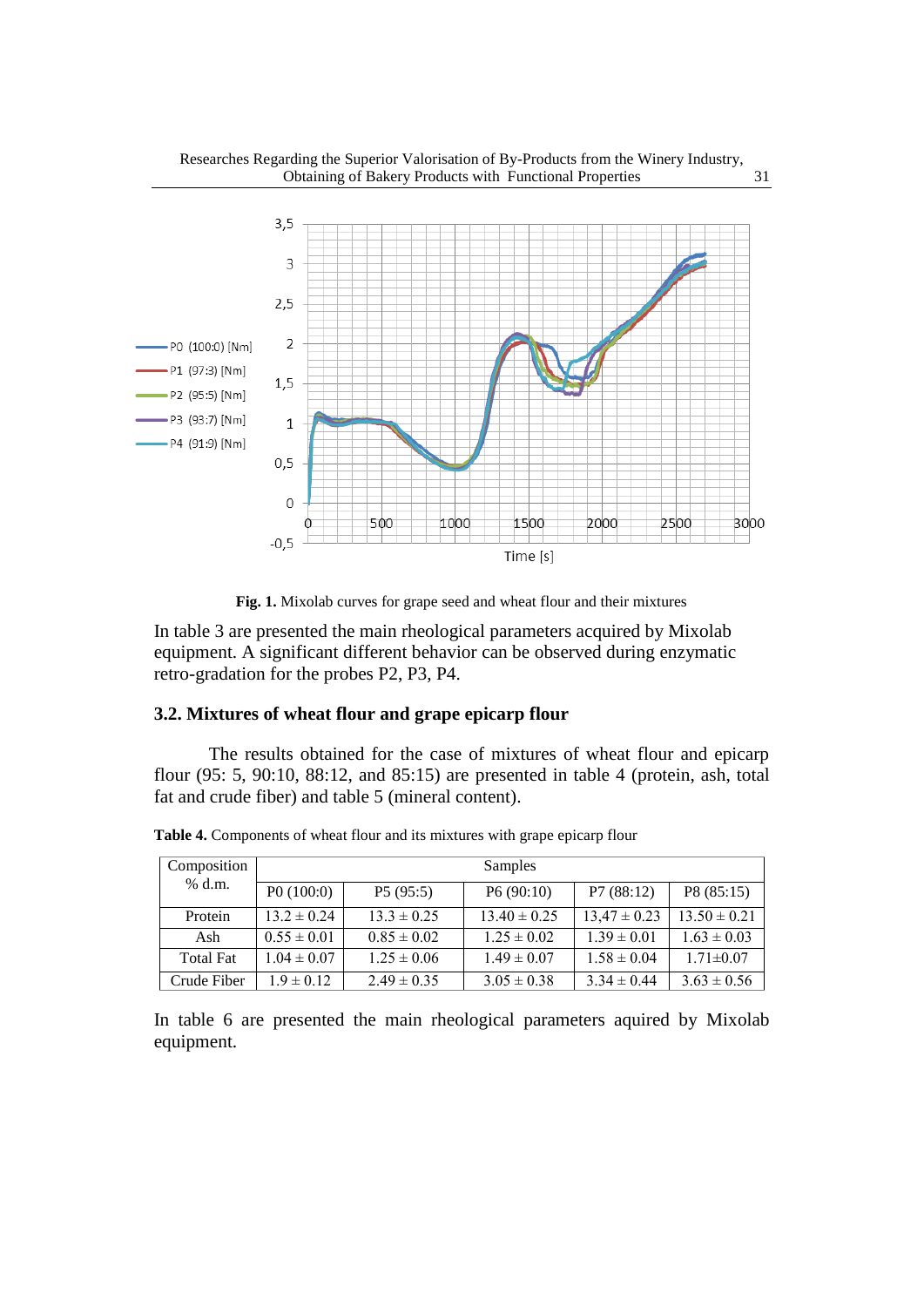

Researches Regarding the Superior Valorisation of By-Products from the Winery Industry,

**Fig. 1.** Mixolab curves for grape seed and wheat flour and their mixtures

In table 3 are presented the main rheological parameters acquired by Mixolab equipment. A significant different behavior can be observed during enzymatic retro-gradation for the probes P2, P3, P4.

## **3.2. Mixtures of wheat flour and grape epicarp flour**

The results obtained for the case of mixtures of wheat flour and epicarp flour (95: 5, 90:10, 88:12, and 85:15) are presented in table 4 (protein, ash, total fat and crude fiber) and table 5 (mineral content).

| Composition      | Samples         |                 |                  |                  |                  |  |
|------------------|-----------------|-----------------|------------------|------------------|------------------|--|
| % d.m.           | P0(100:0)       | P5(95:5)        | P6(90:10)        | P7(88:12)        | P8 (85:15)       |  |
| Protein          | $13.2 \pm 0.24$ | $13.3 \pm 0.25$ | $13.40 \pm 0.25$ | $13,47 \pm 0.23$ | $13.50 \pm 0.21$ |  |
| Ash              | $0.55 \pm 0.01$ | $0.85 \pm 0.02$ | $1.25 \pm 0.02$  | $1.39 \pm 0.01$  | $1.63 \pm 0.03$  |  |
| <b>Total Fat</b> | $1.04 \pm 0.07$ | $1.25 \pm 0.06$ | $1.49 \pm 0.07$  | $1.58 \pm 0.04$  | $1.71 \pm 0.07$  |  |
| Crude Fiber      | $1.9 \pm 0.12$  | $2.49 \pm 0.35$ | $3.05 \pm 0.38$  | $3.34 \pm 0.44$  | $3.63 \pm 0.56$  |  |

**Table 4.** Components of wheat flour and its mixtures with grape epicarp flour

In table 6 are presented the main rheological parameters aquired by Mixolab equipment.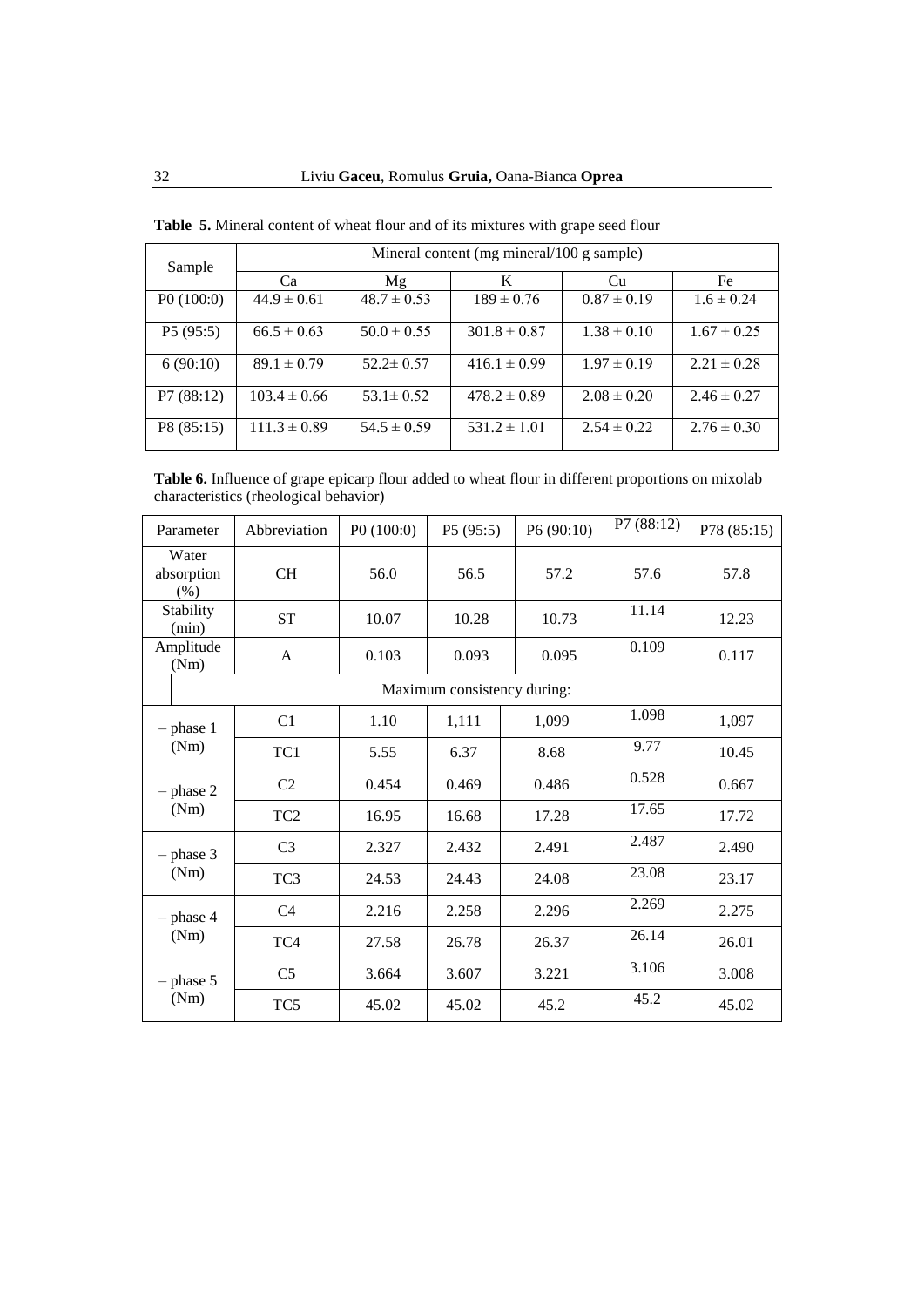| Sample     | Mineral content (mg mineral/100 g sample) |                 |                  |                 |                 |  |  |
|------------|-------------------------------------------|-----------------|------------------|-----------------|-----------------|--|--|
|            | Ca                                        | Mg              | K                | Cu              | Fe              |  |  |
| P0(100:0)  | $44.9 \pm 0.61$                           | $48.7 \pm 0.53$ | $189 \pm 0.76$   | $0.87 \pm 0.19$ | $1.6 \pm 0.24$  |  |  |
| P5(95:5)   | $66.5 \pm 0.63$                           | $50.0 \pm 0.55$ | $301.8 \pm 0.87$ | $1.38 \pm 0.10$ | $1.67 \pm 0.25$ |  |  |
| 6(90:10)   | $89.1 \pm 0.79$                           | $52.2 \pm 0.57$ | $416.1 \pm 0.99$ | $1.97 \pm 0.19$ | $2.21 \pm 0.28$ |  |  |
| P7(88:12)  | $103.4 \pm 0.66$                          | $53.1 \pm 0.52$ | $478.2 \pm 0.89$ | $2.08 \pm 0.20$ | $2.46 \pm 0.27$ |  |  |
| P8 (85:15) | $111.3 \pm 0.89$                          | $54.5 \pm 0.59$ | $531.2 \pm 1.01$ | $2.54 \pm 0.22$ | $2.76 \pm 0.30$ |  |  |

**Table 5.** Mineral content of wheat flour and of its mixtures with grape seed flour

**Table 6.** Influence of grape epicarp flour added to wheat flour in different proportions on mixolab characteristics (rheological behavior)

| Parameter                   | Abbreviation    | P0(100:0) | P5 (95:5)                   | P6 (90:10) | P7 (88:12) | P78 (85:15) |
|-----------------------------|-----------------|-----------|-----------------------------|------------|------------|-------------|
| Water<br>absorption<br>(% ) | <b>CH</b>       | 56.0      | 56.5                        | 57.2       | 57.6       | 57.8        |
| Stability<br>(min)          | <b>ST</b>       | 10.07     | 10.28                       | 10.73      | 11.14      | 12.23       |
| Amplitude<br>(Nm)           | $\mathsf{A}$    | 0.103     | 0.093                       | 0.095      | 0.109      | 0.117       |
|                             |                 |           | Maximum consistency during: |            |            |             |
| $-$ phase 1<br>(Nm)         | C <sub>1</sub>  | 1.10      | 1,111                       | 1,099      | 1.098      | 1,097       |
|                             | TC1             | 5.55      | 6.37                        | 8.68       | 9.77       | 10.45       |
| $-$ phase 2<br>(Nm)         | C <sub>2</sub>  | 0.454     | 0.469                       | 0.486      | 0.528      | 0.667       |
|                             | TC <sub>2</sub> | 16.95     | 16.68                       | 17.28      | 17.65      | 17.72       |
| $-$ phase 3                 | C <sub>3</sub>  | 2.327     | 2.432                       | 2.491      | 2.487      | 2.490       |
| (Nm)                        | TC <sub>3</sub> | 24.53     | 24.43                       | 24.08      | 23.08      | 23.17       |
| $-$ phase 4<br>(Nm)         | C <sub>4</sub>  | 2.216     | 2.258                       | 2.296      | 2.269      | 2.275       |
|                             | TC4             | 27.58     | 26.78                       | 26.37      | 26.14      | 26.01       |
| $-$ phase 5<br>(Nm)         | C <sub>5</sub>  | 3.664     | 3.607                       | 3.221      | 3.106      | 3.008       |
|                             | TC <sub>5</sub> | 45.02     | 45.02                       | 45.2       | 45.2       | 45.02       |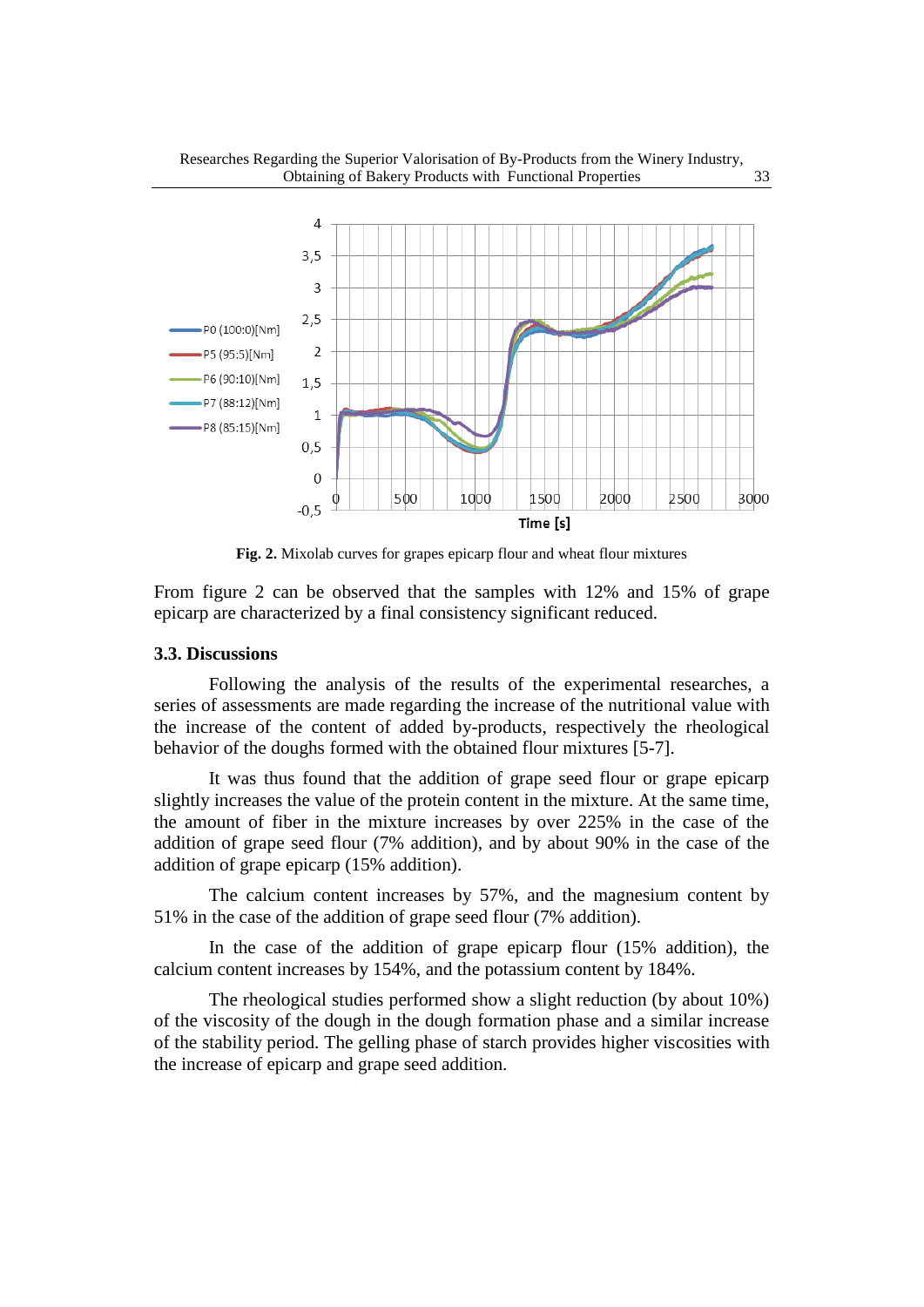

**Fig. 2.** Mixolab curves for grapes epicarp flour and wheat flour mixtures

1000

1500

Time [s]

2000

2500

3000

5фо

From figure 2 can be observed that the samples with 12% and 15% of grape epicarp are characterized by a final consistency significant reduced.

#### **3.3. Discussions**

 $\mathbf 0$ 

 $-0,5$ 

Following the analysis of the results of the experimental researches, a series of assessments are made regarding the increase of the nutritional value with the increase of the content of added by-products, respectively the rheological behavior of the doughs formed with the obtained flour mixtures [5-7].

It was thus found that the addition of grape seed flour or grape epicarp slightly increases the value of the protein content in the mixture. At the same time, the amount of fiber in the mixture increases by over 225% in the case of the addition of grape seed flour (7% addition), and by about 90% in the case of the addition of grape epicarp (15% addition).

The calcium content increases by 57%, and the magnesium content by 51% in the case of the addition of grape seed flour (7% addition).

In the case of the addition of grape epicarp flour (15% addition), the calcium content increases by 154%, and the potassium content by 184%.

The rheological studies performed show a slight reduction (by about 10%) of the viscosity of the dough in the dough formation phase and a similar increase of the stability period. The gelling phase of starch provides higher viscosities with the increase of epicarp and grape seed addition.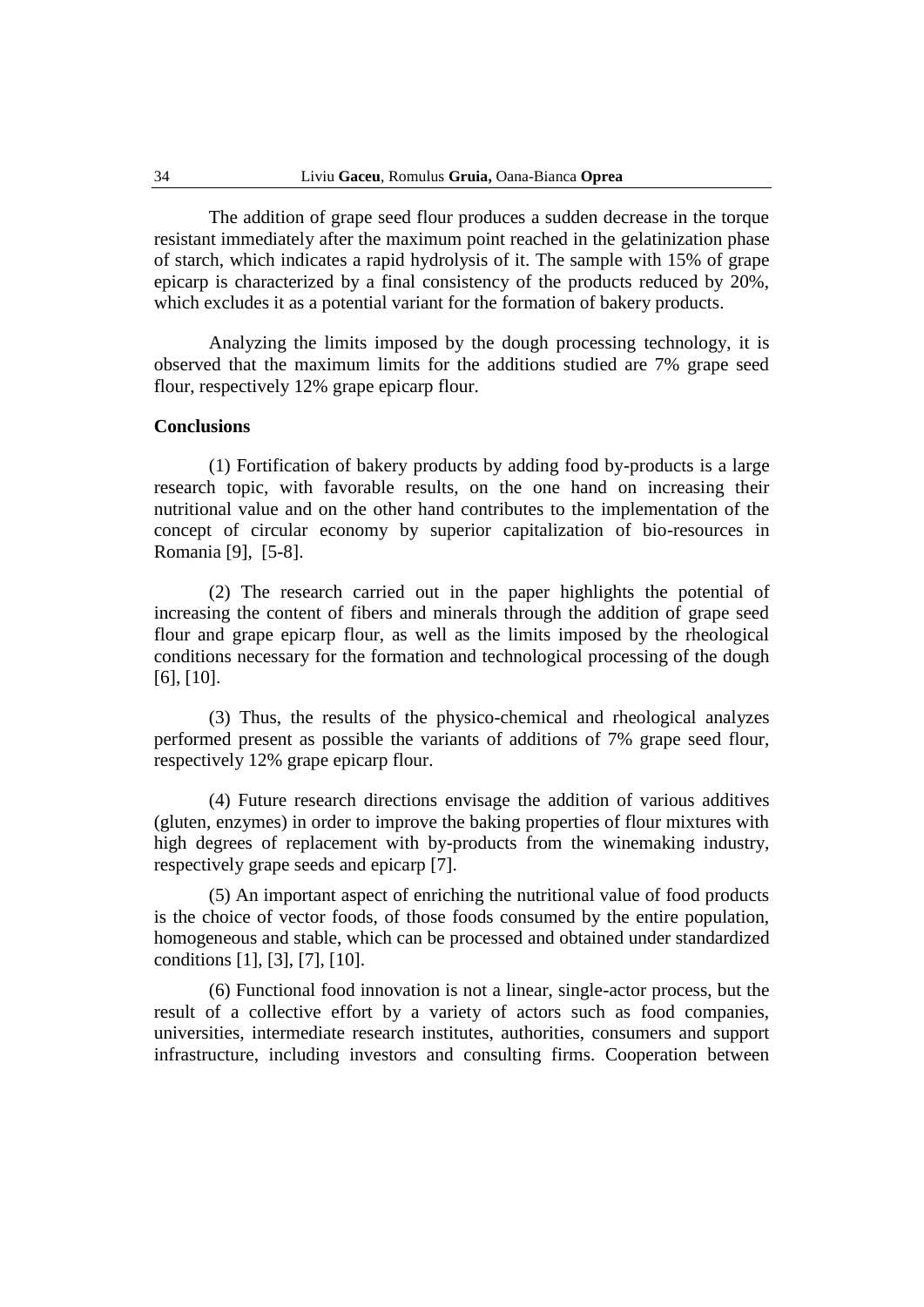The addition of grape seed flour produces a sudden decrease in the torque resistant immediately after the maximum point reached in the gelatinization phase of starch, which indicates a rapid hydrolysis of it. The sample with 15% of grape epicarp is characterized by a final consistency of the products reduced by 20%, which excludes it as a potential variant for the formation of bakery products.

Analyzing the limits imposed by the dough processing technology, it is observed that the maximum limits for the additions studied are 7% grape seed flour, respectively 12% grape epicarp flour.

#### **Conclusions**

(1) Fortification of bakery products by adding food by-products is a large research topic, with favorable results, on the one hand on increasing their nutritional value and on the other hand contributes to the implementation of the concept of circular economy by superior capitalization of bio-resources in Romania [9], [5-8].

(2) The research carried out in the paper highlights the potential of increasing the content of fibers and minerals through the addition of grape seed flour and grape epicarp flour, as well as the limits imposed by the rheological conditions necessary for the formation and technological processing of the dough [6], [10].

(3) Thus, the results of the physico-chemical and rheological analyzes performed present as possible the variants of additions of 7% grape seed flour, respectively 12% grape epicarp flour.

(4) Future research directions envisage the addition of various additives (gluten, enzymes) in order to improve the baking properties of flour mixtures with high degrees of replacement with by-products from the winemaking industry, respectively grape seeds and epicarp [7].

(5) An important aspect of enriching the nutritional value of food products is the choice of vector foods, of those foods consumed by the entire population, homogeneous and stable, which can be processed and obtained under standardized conditions [1], [3], [7], [10].

(6) Functional food innovation is not a linear, single-actor process, but the result of a collective effort by a variety of actors such as food companies, universities, intermediate research institutes, authorities, consumers and support infrastructure, including investors and consulting firms. Cooperation between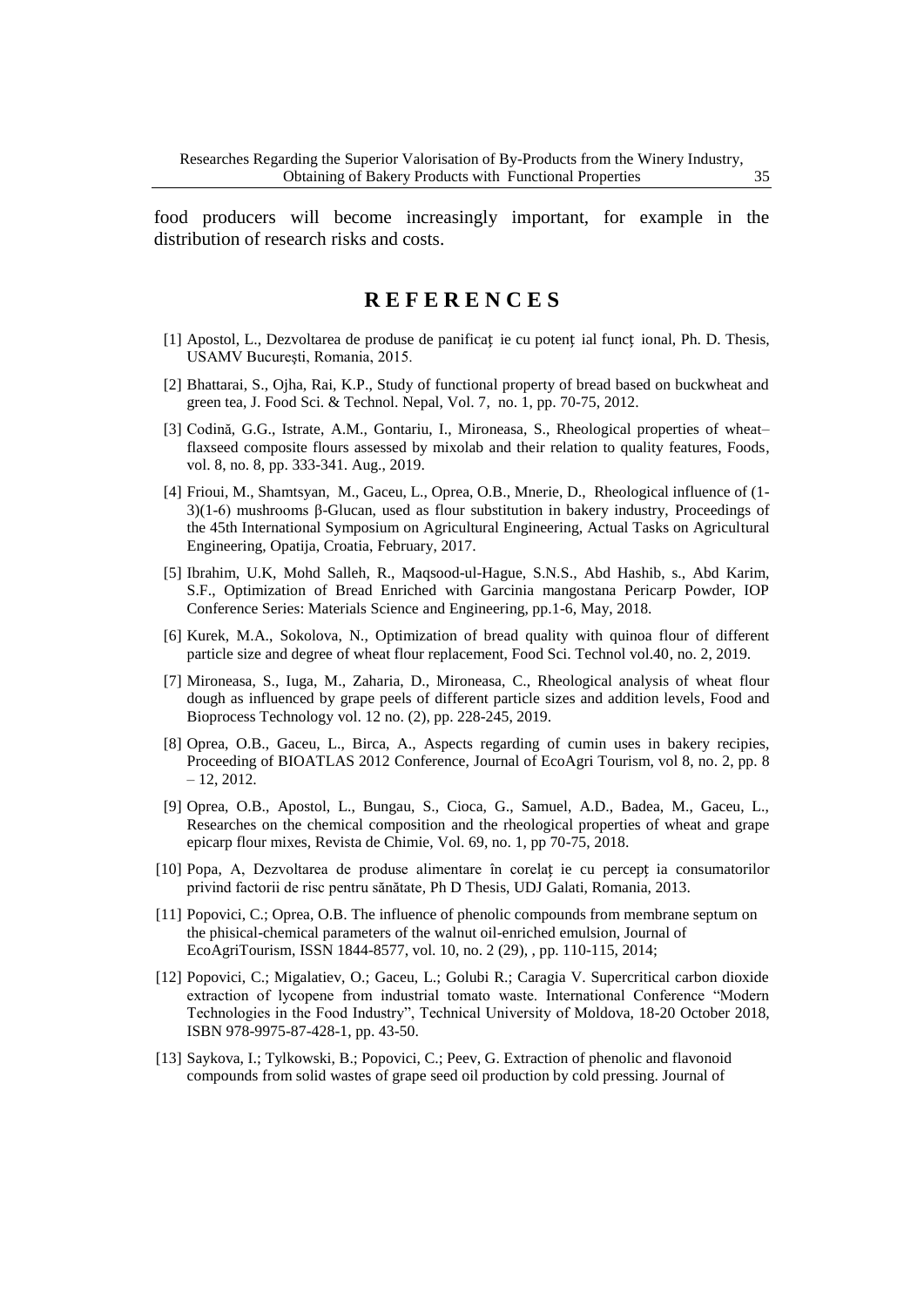food producers will become increasingly important, for example in the distribution of research risks and costs.

# **R E F E R E N C E S**

- [1] Apostol, L., Dezvoltarea de produse de panificaț ie cu potenț ial funcț ional, Ph. D. Thesis, USAMV Bucureşti, Romania, 2015.
- [2] Bhattarai, S., Ojha, Rai, K.P., Study of functional property of bread based on buckwheat and green tea, J. Food Sci. & Technol. Nepal, Vol. 7, no. 1, pp. 70-75, 2012.
- [3] Codină, G.G., Istrate, A.M., Gontariu, I., Mironeasa, S., Rheological properties of wheat– flaxseed composite flours assessed by mixolab and their relation to quality features, Foods, vol. 8, no. 8, pp. 333-341. Aug., 2019.
- [4] Frioui, M., Shamtsyan, M., Gaceu, L., Oprea, O.B., Mnerie, D., Rheological influence of (1- 3)(1-6) mushrooms β-Glucan, used as flour substitution in bakery industry, Proceedings of the 45th International Symposium on Agricultural Engineering, Actual Tasks on Agricultural Engineering, Opatija, Croatia, February, 2017.
- [5] Ibrahim, U.K, Mohd Salleh, R., Maqsood-ul-Hague, S.N.S., Abd Hashib, s., Abd Karim, S.F., Optimization of Bread Enriched with Garcinia mangostana Pericarp Powder, IOP Conference Series: Materials Science and Engineering, pp.1-6, May, 2018.
- [6] Kurek, M.A., Sokolova, N., Optimization of bread quality with quinoa flour of different particle size and degree of wheat flour replacement, Food Sci. Technol vol.40, no. 2, 2019.
- [7] Mironeasa, S., Iuga, M., Zaharia, D., Mironeasa, C., Rheological analysis of wheat flour dough as influenced by grape peels of different particle sizes and addition levels, Food and Bioprocess Technology vol. 12 no. (2), pp. 228-245, 2019.
- [8] Oprea, O.B., Gaceu, L., Birca, A., Aspects regarding of cumin uses in bakery recipies, Proceeding of BIOATLAS 2012 Conference, Journal of EcoAgri Tourism, vol 8, no. 2, pp. 8  $-12, 2012.$
- [9] Oprea, O.B., Apostol, L., Bungau, S., Cioca, G., Samuel, A.D., Badea, M., Gaceu, L., Researches on the chemical composition and the rheological properties of wheat and grape epicarp flour mixes, Revista de Chimie, Vol. 69, no. 1, pp 70-75, 2018.
- [10] Popa, A, Dezvoltarea de produse alimentare în corelaț ie cu percepț ia consumatorilor privind factorii de risc pentru sănătate*,* Ph D Thesis, UDJ Galati, Romania, 2013.
- [11] Popovici, C.; Oprea, O.B. The influence of phenolic compounds from membrane septum on the phisical-chemical parameters of the walnut oil-enriched emulsion, Journal of EcoAgriTourism, ISSN 1844-8577, vol. 10, no. 2 (29), , pp. 110-115, 2014;
- [12] Popovici, C.; Migalatiev, O.; Gaceu, L.; Golubi R.; Caragia V. Supercritical carbon dioxide extraction of lycopene from industrial tomato waste. International Conference "Modern Technologies in the Food Industry", Technical University of Moldova, 18-20 October 2018, ISBN 978-9975-87-428-1, pp. 43-50.
- [13] Saykova, I.; Tylkowski, B.; Popovici, C.; Peev, G. Extraction of phenolic and flavonoid compounds from solid wastes of grape seed oil production by cold pressing. Journal of